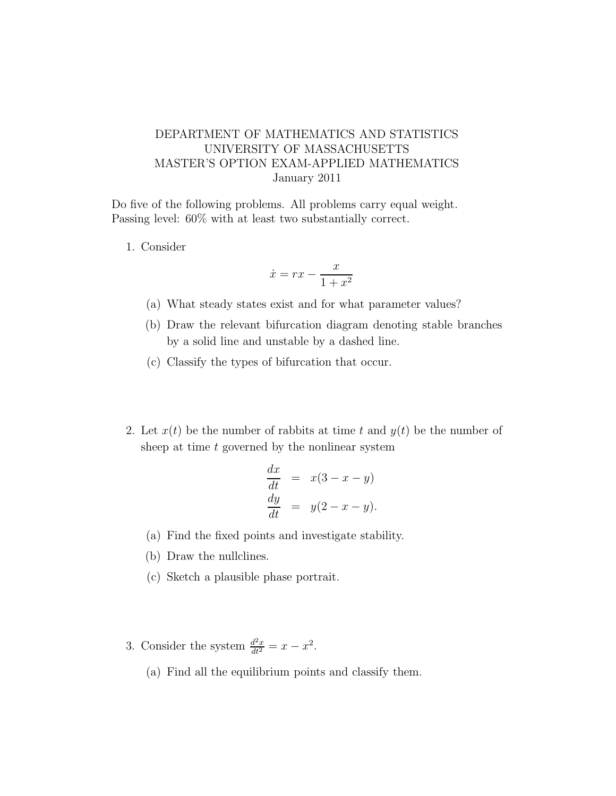## DEPARTMENT OF MATHEMATICS AND STATISTICS UNIVERSITY OF MASSACHUSETTS MASTER'S OPTION EXAM-APPLIED MATHEMATICS January 2011

Do five of the following problems. All problems carry equal weight. Passing level: 60% with at least two substantially correct.

1. Consider

$$
\dot{x} = rx - \frac{x}{1 + x^2}
$$

- (a) What steady states exist and for what parameter values?
- (b) Draw the relevant bifurcation diagram denoting stable branches by a solid line and unstable by a dashed line.
- (c) Classify the types of bifurcation that occur.
- 2. Let  $x(t)$  be the number of rabbits at time t and  $y(t)$  be the number of sheep at time  $t$  governed by the nonlinear system

$$
\frac{dx}{dt} = x(3-x-y)
$$
  

$$
\frac{dy}{dt} = y(2-x-y).
$$

- (a) Find the fixed points and investigate stability.
- (b) Draw the nullclines.
- (c) Sketch a plausible phase portrait.
- 3. Consider the system  $\frac{d^2x}{dt^2} = x x^2$ .
	- (a) Find all the equilibrium points and classify them.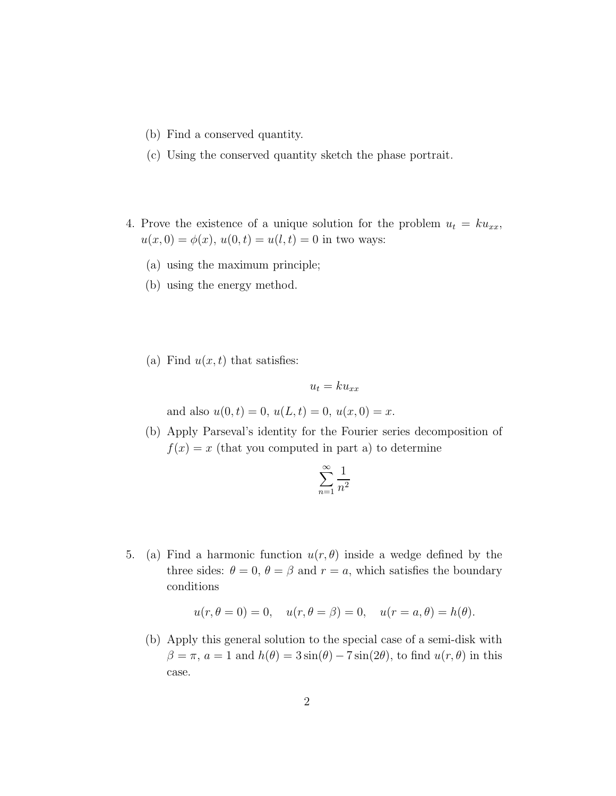- (b) Find a conserved quantity.
- (c) Using the conserved quantity sketch the phase portrait.
- 4. Prove the existence of a unique solution for the problem  $u_t = k u_{xx}$ ,  $u(x, 0) = \phi(x), u(0, t) = u(l, t) = 0$  in two ways:
	- (a) using the maximum principle;
	- (b) using the energy method.
	- (a) Find  $u(x, t)$  that satisfies:

$$
u_t = k u_{xx}
$$

and also  $u(0, t) = 0$ ,  $u(L, t) = 0$ ,  $u(x, 0) = x$ .

(b) Apply Parseval's identity for the Fourier series decomposition of  $f(x) = x$  (that you computed in part a) to determine

$$
\sum_{n=1}^{\infty} \frac{1}{n^2}
$$

5. (a) Find a harmonic function  $u(r, \theta)$  inside a wedge defined by the three sides:  $\theta = 0$ ,  $\theta = \beta$  and  $r = a$ , which satisfies the boundary conditions

$$
u(r, \theta = 0) = 0
$$
,  $u(r, \theta = \beta) = 0$ ,  $u(r = a, \theta) = h(\theta)$ .

(b) Apply this general solution to the special case of a semi-disk with  $\beta = \pi$ ,  $a = 1$  and  $h(\theta) = 3 \sin(\theta) - 7 \sin(2\theta)$ , to find  $u(r, \theta)$  in this case.